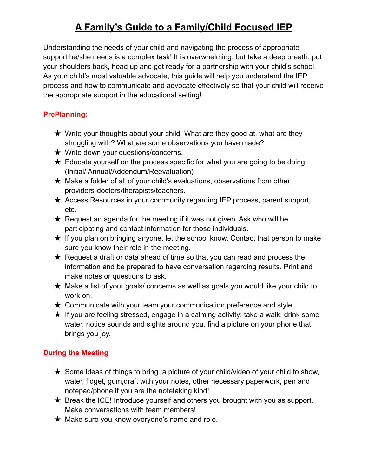## **A Family's Guide to a Family/Child Focused IEP**

Understanding the needs of your child and navigating the process of appropriate support he/she needs is a complex task! It is overwhelming, but take a deep breath, put your shoulders back, head up and get ready for a partnership with your child's school. As your child's most valuable advocate, this guide will help you understand the IEP process and how to communicate and advocate effectively so that your child will receive the appropriate support in the educational setting!

#### **PrePlanning:**

- $\star$  Write your thoughts about your child. What are they good at, what are they struggling with? What are some observations you have made?
- ★ Write down your questions/concerns.
- $\star$  Educate yourself on the process specific for what you are going to be doing (Initial/ Annual/Addendum/Reevaluation)
- ★ Make a folder of all of your child's evaluations, observations from other providers-doctors/therapists/teachers.
- ★ Access Resources in your community regarding IEP process, parent support, etc.
- $\star$  Request an agenda for the meeting if it was not given. Ask who will be participating and contact information for those individuals.
- $\star$  If you plan on bringing anyone, let the school know. Contact that person to make sure you know their role in the meeting.
- $\star$  Request a draft or data ahead of time so that you can read and process the information and be prepared to have conversation regarding results. Print and make notes or questions to ask.
- $\star$  Make a list of your goals/ concerns as well as goals you would like your child to work on.
- $\star$  Communicate with your team your communication preference and style.
- $\star$  If you are feeling stressed, engage in a calming activity: take a walk, drink some water, notice sounds and sights around you, find a picture on your phone that brings you joy.

### **During the Meeting**

- $\star$  Some ideas of things to bring :a picture of your child/video of your child to show, water, fidget, gum,draft with your notes, other necessary paperwork, pen and notepad/phone if you are the notetaking kind!
- $\star$  Break the ICE! Introduce yourself and others you brought with you as support. Make conversations with team members!
- $\star$  Make sure you know everyone's name and role.